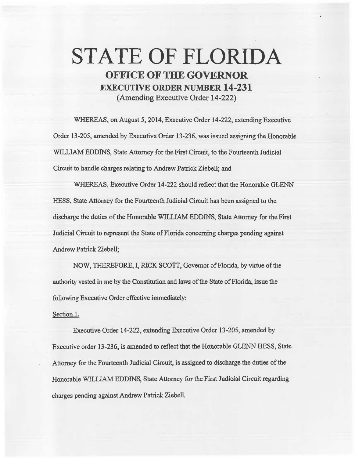## STATE OF FLORIDA OFFICE OF THE GOVERNOR EXECUTIVE ORDER NUMBER 14-231 (Amending Executive Order 14-222)

WHEREAS, on August 5, 2014, Executive Order 14-222, extending Executive Order 13-205, amended by Executive Order 13-236, was issued assigning the Honorable WILLIAM EDDINS, State Attorney for the First Circuit, to the Fourteenth Judicial Circuit to handle charges relating to Andrew Patrick Ziebell; and

WHEREAS, Executive Order 14-222 should reflect that the Honorable GLENN HESS, State Attorney for the Fourteenth Judicial Circuit has been assigned to the discharge the duties of the Honorable WILLIAM EDDINS, State Attorney for the First Judicial Circuit to represent the State of Florida concerning charges pending against Andrew Patrick Ziebell;

NOW, THEREFORE, I, RICK SCOTI, Governor of Florida, by virtue of the authority vested in me by the Constitution and laws of the State of Florida, issue the following Executive Order effective immediately:

## Section 1.

Executive Order 14-222, extending Executive Order 13-205, amended by Executive order 13-236, is amended to reflect that the Honorable GLENN HESS, State Attorney for the Fourteenth Judicial Circuit, is assigned to discharge the duties of the Honorable WILLIAM EDDINS, State Attorney for the First Judicial Circuit regarding charges pending against Andrew Patrick Ziebell.